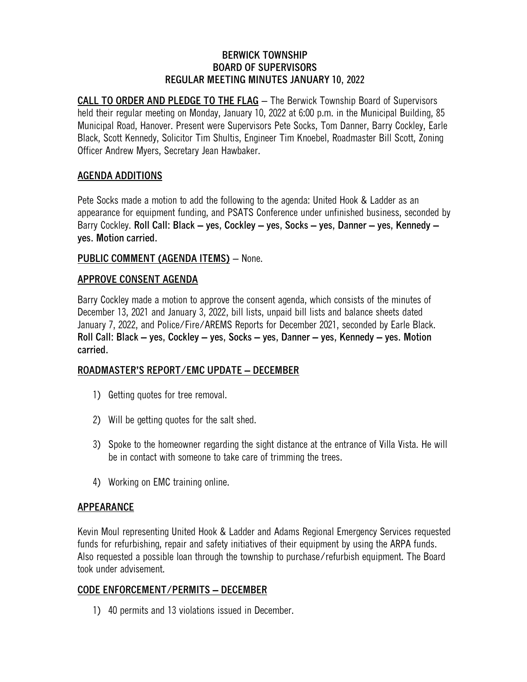#### **BERWICK TOWNSHIP BOARD OF SUPERVISORS REGULAR MEETING MINUTES JANUARY 10, 2022**

**CALL TO ORDER AND PLEDGE TO THE FLAG** – The Berwick Township Board of Supervisors held their regular meeting on Monday, January 10, 2022 at 6:00 p.m. in the Municipal Building, 85 Municipal Road, Hanover. Present were Supervisors Pete Socks, Tom Danner, Barry Cockley, Earle Black, Scott Kennedy, Solicitor Tim Shultis, Engineer Tim Knoebel, Roadmaster Bill Scott, Zoning Officer Andrew Myers, Secretary Jean Hawbaker.

# **AGENDA ADDITIONS**

Pete Socks made a motion to add the following to the agenda: United Hook & Ladder as an appearance for equipment funding, and PSATS Conference under unfinished business, seconded by Barry Cockley. **Roll Call: Black – yes, Cockley – yes, Socks – yes, Danner – yes, Kennedy – yes. Motion carried.**

### **PUBLIC COMMENT (AGENDA ITEMS)** – None.

### **APPROVE CONSENT AGENDA**

Barry Cockley made a motion to approve the consent agenda, which consists of the minutes of December 13, 2021 and January 3, 2022, bill lists, unpaid bill lists and balance sheets dated January 7, 2022, and Police/Fire/AREMS Reports for December 2021, seconded by Earle Black. **Roll Call: Black – yes, Cockley – yes, Socks – yes, Danner – yes, Kennedy – yes. Motion carried.**

### **ROADMASTER'S REPORT/EMC UPDATE – DECEMBER**

- 1) Getting quotes for tree removal.
- 2) Will be getting quotes for the salt shed.
- 3) Spoke to the homeowner regarding the sight distance at the entrance of Villa Vista. He will be in contact with someone to take care of trimming the trees.
- 4) Working on EMC training online.

### **APPEARANCE**

Kevin Moul representing United Hook & Ladder and Adams Regional Emergency Services requested funds for refurbishing, repair and safety initiatives of their equipment by using the ARPA funds. Also requested a possible loan through the township to purchase/refurbish equipment. The Board took under advisement.

# **CODE ENFORCEMENT/PERMITS – DECEMBER**

1) 40 permits and 13 violations issued in December.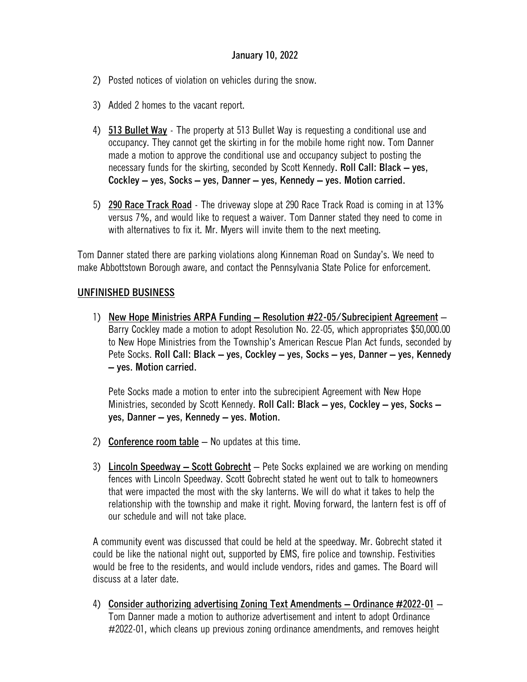### **January 10, 2022**

- 2) Posted notices of violation on vehicles during the snow.
- 3) Added 2 homes to the vacant report.
- 4) **513 Bullet Way** The property at 513 Bullet Way is requesting a conditional use and occupancy. They cannot get the skirting in for the mobile home right now. Tom Danner made a motion to approve the conditional use and occupancy subject to posting the necessary funds for the skirting, seconded by Scott Kennedy**. Roll Call: Black – yes, Cockley – yes, Socks – yes, Danner – yes, Kennedy – yes. Motion carried.**
- 5) **290 Race Track Road** The driveway slope at 290 Race Track Road is coming in at 13% versus 7%, and would like to request a waiver. Tom Danner stated they need to come in with alternatives to fix it. Mr. Myers will invite them to the next meeting.

Tom Danner stated there are parking violations along Kinneman Road on Sunday's. We need to make Abbottstown Borough aware, and contact the Pennsylvania State Police for enforcement.

#### **UNFINISHED BUSINESS**

1) **New Hope Ministries ARPA Funding – Resolution #22-05/Subrecipient Agreement** – Barry Cockley made a motion to adopt Resolution No. 22-05, which appropriates \$50,000.00 to New Hope Ministries from the Township's American Rescue Plan Act funds, seconded by Pete Socks. **Roll Call: Black – yes, Cockley – yes, Socks – yes, Danner – yes, Kennedy – yes. Motion carried.**

Pete Socks made a motion to enter into the subrecipient Agreement with New Hope Ministries, seconded by Scott Kennedy. **Roll Call: Black – yes, Cockley – yes, Socks – yes, Danner – yes, Kennedy – yes. Motion.**

- 2) **Conference room table** No updates at this time.
- 3) **Lincoln Speedway – Scott Gobrecht** Pete Socks explained we are working on mending fences with Lincoln Speedway. Scott Gobrecht stated he went out to talk to homeowners that were impacted the most with the sky lanterns. We will do what it takes to help the relationship with the township and make it right. Moving forward, the lantern fest is off of our schedule and will not take place.

A community event was discussed that could be held at the speedway. Mr. Gobrecht stated it could be like the national night out, supported by EMS, fire police and township. Festivities would be free to the residents, and would include vendors, rides and games. The Board will discuss at a later date.

4) **Consider authorizing advertising Zoning Text Amendments – Ordinance #2022-01** – Tom Danner made a motion to authorize advertisement and intent to adopt Ordinance #2022-01, which cleans up previous zoning ordinance amendments, and removes height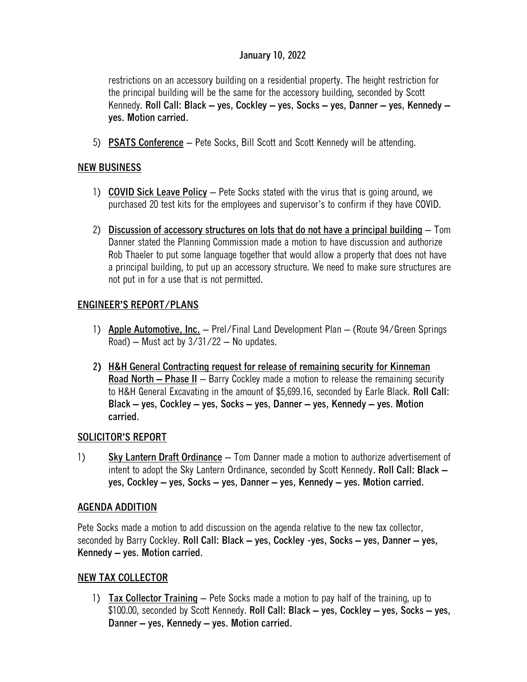# **January 10, 2022**

restrictions on an accessory building on a residential property. The height restriction for the principal building will be the same for the accessory building, seconded by Scott Kennedy. **Roll Call: Black – yes, Cockley – yes, Socks – yes, Danner – yes, Kennedy – yes. Motion carried.**

5) **PSATS Conference** – Pete Socks, Bill Scott and Scott Kennedy will be attending.

# **NEW BUSINESS**

- 1) **COVID Sick Leave Policy** Pete Socks stated with the virus that is going around, we purchased 20 test kits for the employees and supervisor's to confirm if they have COVID.
- 2) **Discussion of accessory structures on lots that do not have a principal building** Tom Danner stated the Planning Commission made a motion to have discussion and authorize Rob Thaeler to put some language together that would allow a property that does not have a principal building, to put up an accessory structure. We need to make sure structures are not put in for a use that is not permitted.

# **ENGINEER'S REPORT/PLANS**

- 1) **Apple Automotive, Inc.** Prel/Final Land Development Plan (Route 94/Green Springs Road) – Must act by  $3/31/22$  – No updates.
- **2) H&H General Contracting request for release of remaining security for Kinneman Road North – Phase II** – Barry Cockley made a motion to release the remaining security to H&H General Excavating in the amount of \$5,699.16, seconded by Earle Black. **Roll Call: Black – yes, Cockley – yes, Socks – yes, Danner – yes, Kennedy – yes. Motion carried.**

### **SOLICITOR'S REPORT**

1) **Sky Lantern Draft Ordinance** – Tom Danner made a motion to authorize advertisement of intent to adopt the Sky Lantern Ordinance, seconded by Scott Kennedy**. Roll Call: Black – yes, Cockley – yes, Socks – yes, Danner – yes, Kennedy – yes. Motion carried.**

### **AGENDA ADDITION**

Pete Socks made a motion to add discussion on the agenda relative to the new tax collector, seconded by Barry Cockley. **Roll Call: Black – yes, Cockley -yes, Socks – yes, Danner – yes, Kennedy – yes. Motion carried.**

### **NEW TAX COLLECTOR**

1) **Tax Collector Training** – Pete Socks made a motion to pay half of the training, up to \$100.00, seconded by Scott Kennedy. **Roll Call: Black – yes, Cockley – yes, Socks – yes, Danner – yes, Kennedy – yes. Motion carried.**